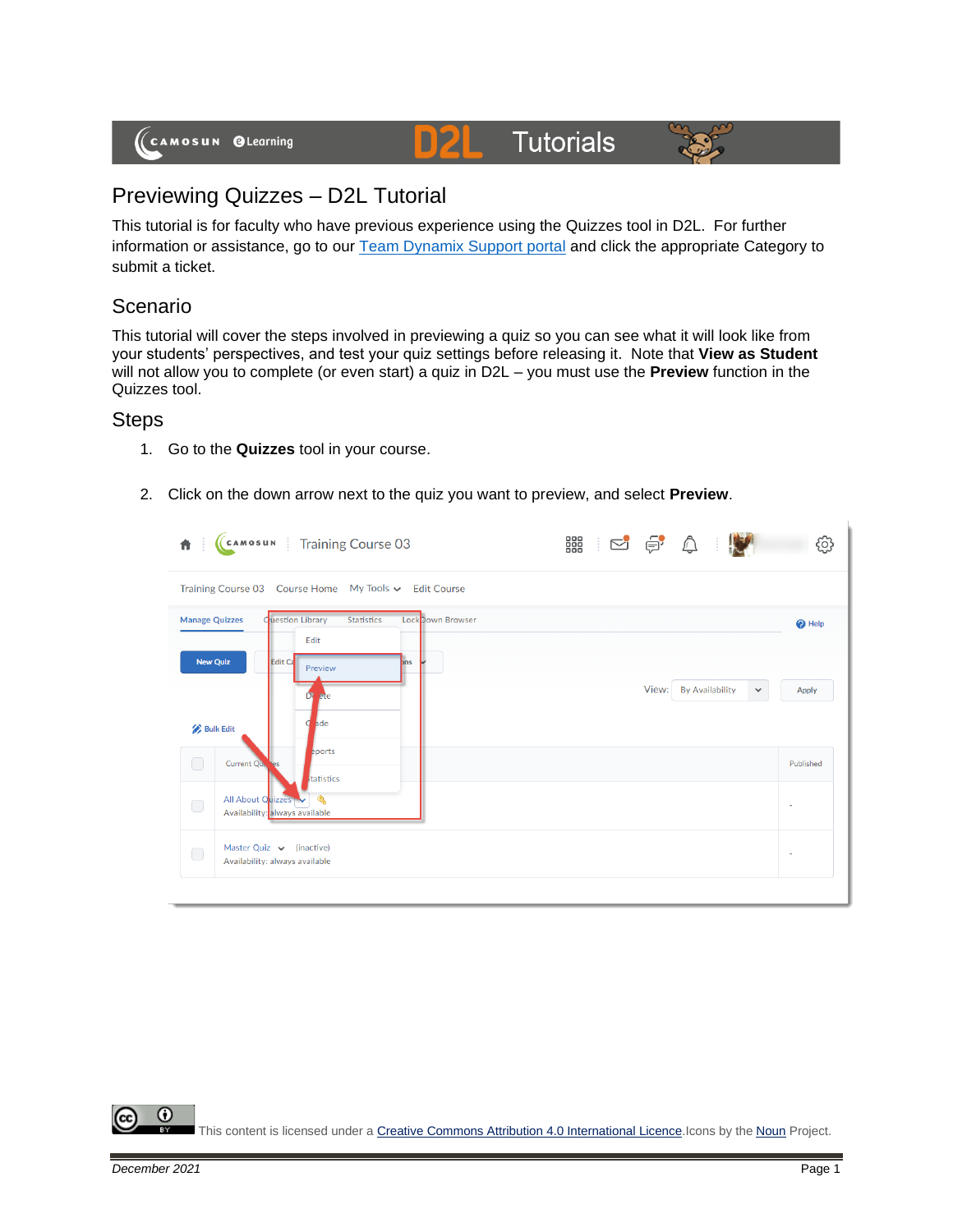

# **Tutorials**



### Previewing Quizzes – D2L Tutorial

This tutorial is for faculty who have previous experience using the Quizzes tool in D2L. For further information or assistance, go to our [Team Dynamix Support portal](https://camosun.teamdynamix.com/TDClient/67/Portal/Requests/ServiceCatalog?CategoryID=523) and click the appropriate Category to submit a ticket.

#### Scenario

This tutorial will cover the steps involved in previewing a quiz so you can see what it will look like from your students' perspectives, and test your quiz settings before releasing it. Note that **View as Student** will not allow you to complete (or even start) a quiz in D2L – you must use the **Preview** function in the Quizzes tool.

#### **Steps**

- 1. Go to the **Quizzes** tool in your course.
- 2. Click on the down arrow next to the quiz you want to preview, and select **Preview**.

| Training Course 03 Course Home My Tools v Edit Course<br><b>Cuestion Library</b><br>Lock Down Browser<br><b>Manage Quizzes</b><br><b>Statistics</b><br>$\bigcirc$ Help<br>Edit<br><b>New Quiz</b><br><b>Edit Ca</b><br><b>ons</b><br>Preview<br>View:<br><b>By Availability</b><br>$\checkmark$<br>Apply<br>ete<br>D<br>ade<br><b>Bulk Edit</b><br>eports<br>$\bigcirc$<br>Current Qui, res<br>Published<br>tatistics<br>All About Quizzes<br>$\bigcirc$<br>٠<br>Availability: always available | 音:         | (CAMOSUN Training Course 03   | 器 125 \$ 0 |  |  |  |  |  |  |  |
|-------------------------------------------------------------------------------------------------------------------------------------------------------------------------------------------------------------------------------------------------------------------------------------------------------------------------------------------------------------------------------------------------------------------------------------------------------------------------------------------------|------------|-------------------------------|------------|--|--|--|--|--|--|--|
|                                                                                                                                                                                                                                                                                                                                                                                                                                                                                                 |            |                               |            |  |  |  |  |  |  |  |
|                                                                                                                                                                                                                                                                                                                                                                                                                                                                                                 |            |                               |            |  |  |  |  |  |  |  |
|                                                                                                                                                                                                                                                                                                                                                                                                                                                                                                 |            |                               |            |  |  |  |  |  |  |  |
|                                                                                                                                                                                                                                                                                                                                                                                                                                                                                                 |            |                               |            |  |  |  |  |  |  |  |
|                                                                                                                                                                                                                                                                                                                                                                                                                                                                                                 |            |                               |            |  |  |  |  |  |  |  |
| $\sim$<br>Availability: always available                                                                                                                                                                                                                                                                                                                                                                                                                                                        | $\bigcirc$ | Master Quiz $\vee$ (inactive) |            |  |  |  |  |  |  |  |

O This content is licensed under [a Creative Commons Attribution 4.0 International Licence.I](https://creativecommons.org/licenses/by/4.0/)cons by the [Noun](https://creativecommons.org/website-icons/) Project.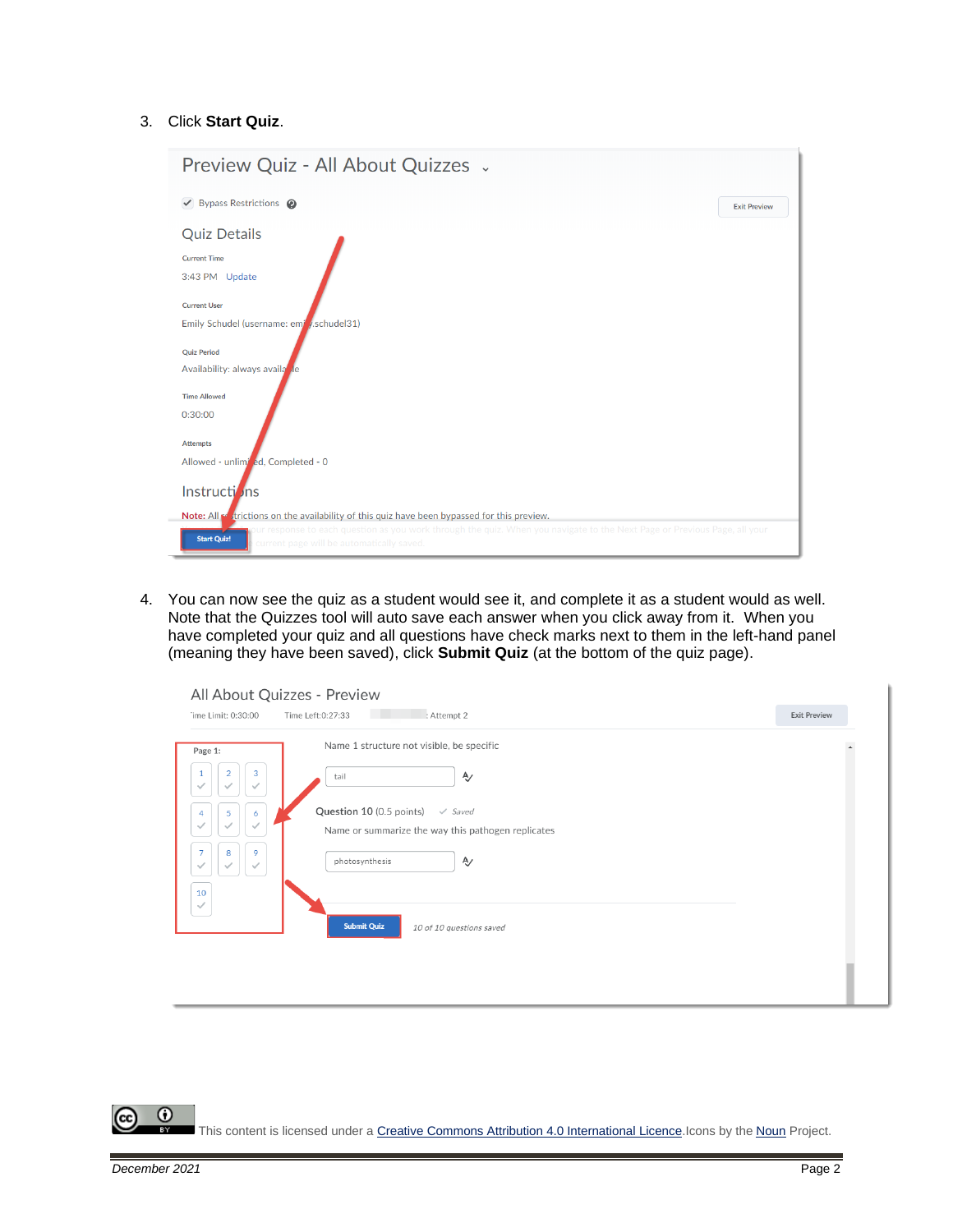#### 3. Click **Start Quiz**.

| Preview Quiz - All About Quizzes .                                                                                                                                                                                                                                                          |                     |
|---------------------------------------------------------------------------------------------------------------------------------------------------------------------------------------------------------------------------------------------------------------------------------------------|---------------------|
| $\triangledown$ Bypass Restrictions $\odot$                                                                                                                                                                                                                                                 | <b>Exit Preview</b> |
| <b>Quiz Details</b><br><b>Current Time</b><br>3:43 PM Update                                                                                                                                                                                                                                |                     |
| <b>Current User</b><br>Emily Schudel (username: emi /.schudel31)                                                                                                                                                                                                                            |                     |
| <b>Ouiz Period</b><br>Availability: always available<br><b>Time Allowed</b>                                                                                                                                                                                                                 |                     |
| 0:30:00<br><b>Attempts</b>                                                                                                                                                                                                                                                                  |                     |
| Allowed - unlimi ed, Completed - 0                                                                                                                                                                                                                                                          |                     |
| Instructions                                                                                                                                                                                                                                                                                |                     |
| Note: All se trictions on the availability of this quiz have been bypassed for this preview.<br>ur response to each question as you work through the quiz. When you navigate to the Next Page or Previous Page, all your<br><b>Start Quiz!</b><br>current page will be automatically saved. |                     |

4. You can now see the quiz as a student would see it, and complete it as a student would as well. Note that the Quizzes tool will auto save each answer when you click away from it. When you have completed your quiz and all questions have check marks next to them in the left-hand panel (meaning they have been saved), click **Submit Quiz** (at the bottom of the quiz page).

| Page 1:                             | Name 1 structure not visible, be specific          |  |
|-------------------------------------|----------------------------------------------------|--|
| 3<br>$\overline{2}$<br>$\checkmark$ | Ą,<br>tail                                         |  |
| 5.<br>6<br>4                        | Question 10 (0.5 points)<br>$\checkmark$ Saved     |  |
|                                     | Name or summarize the way this pathogen replicates |  |
| 9<br>8<br>7<br>$\checkmark$         | Ą,<br>photosynthesis                               |  |
| 10<br>$\checkmark$                  |                                                    |  |
|                                     | <b>Submit Quiz</b><br>10 of 10 questions saved     |  |

 $\odot$ This content is licensed under [a Creative Commons Attribution 4.0 International Licence.I](https://creativecommons.org/licenses/by/4.0/)cons by the [Noun](https://creativecommons.org/website-icons/) Project.